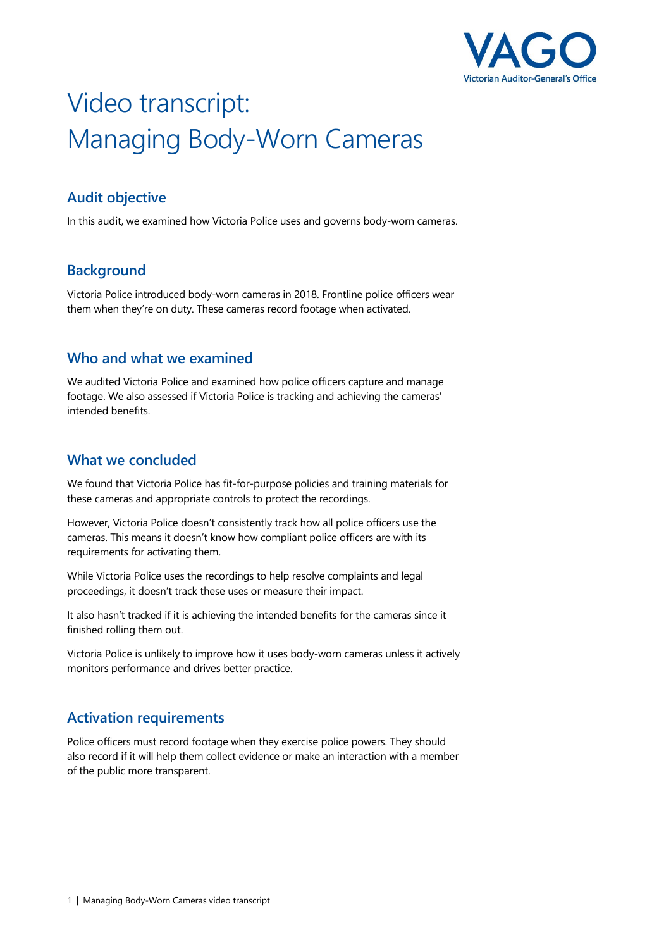

# Video transcript: Managing Body-Worn Cameras

## **Audit objective**

In this audit, we examined how Victoria Police uses and governs body-worn cameras.

## **Background**

Victoria Police introduced body-worn cameras in 2018. Frontline police officers wear them when they're on duty. These cameras record footage when activated.

### **Who and what we examined**

We audited Victoria Police and examined how police officers capture and manage footage. We also assessed if Victoria Police is tracking and achieving the cameras' intended benefits.

#### **What we concluded**

We found that Victoria Police has fit-for-purpose policies and training materials for these cameras and appropriate controls to protect the recordings.

However, Victoria Police doesn't consistently track how all police officers use the cameras. This means it doesn't know how compliant police officers are with its requirements for activating them.

While Victoria Police uses the recordings to help resolve complaints and legal proceedings, it doesn't track these uses or measure their impact.

It also hasn't tracked if it is achieving the intended benefits for the cameras since it finished rolling them out.

Victoria Police is unlikely to improve how it uses body-worn cameras unless it actively monitors performance and drives better practice.

#### **Activation requirements**

Police officers must record footage when they exercise police powers. They should also record if it will help them collect evidence or make an interaction with a member of the public more transparent.